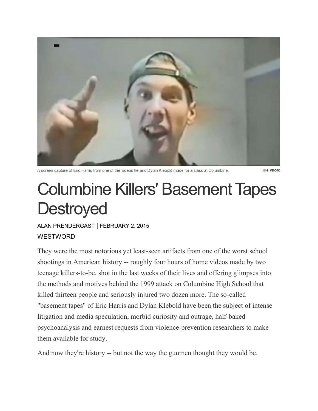

A screen capture of Eric Harris from one of the videos he and Dylan Klebold made for a class at Columbine.

**File Photo** 

## Columbine Killers' Basement Tapes **Destroyed**

ALAN [PRENDERGAST](https://www.westword.com/authors/alan-prendergast-5052731) | FEBRUARY 2, 2015

## **WESTWORD**

They were the most notorious yet least-seen artifacts from one of the worst school shootings in American history -- roughly four hours of home videos made by two teenage killers-to-be, shot in the last weeks of their lives and offering glimpses into the methods and motives behind the 1999 attack on Columbine High School that killed thirteen people and seriously injured two dozen more. The so-called "basement tapes" of Eric Harris and Dylan Klebold have been the subject of intense litigation and media speculation, morbid curiosity and outrage, half-baked psychoanalysis and earnest requests from violence-prevention researchers to make them available for study.

And now they're history -- but not the way the gunmen thought they would be.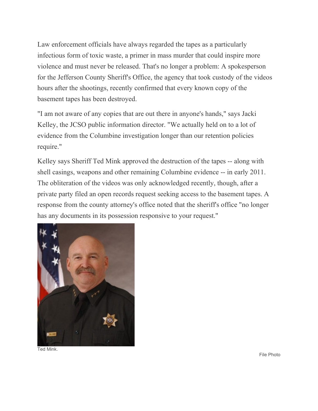Law enforcement officials have always regarded the tapes as a particularly infectious form of toxic waste, a primer in mass murder that could inspire more violence and must never be released. That's no longer a problem: A spokesperson for the Jefferson County Sheriff's Office, the agency that took custody of the videos hours after the shootings, recently confirmed that every known copy of the basement tapes has been destroyed.

"I am not aware of any copies that are out there in anyone's hands," says Jacki Kelley, the JCSO public information director. "We actually held on to a lot of evidence from the Columbine investigation longer than our retention policies require."

Kelley says Sheriff Ted Mink approved the destruction of the tapes -- along with shell casings, weapons and other remaining Columbine evidence -- in early 2011. The obliteration of the videos was only acknowledged recently, though, after a private party filed an open records request seeking access to the basement tapes. A response from the county attorney's office noted that the sheriff's office "no longer has any documents in its possession responsive to your request."



Ted Mink.

File Photo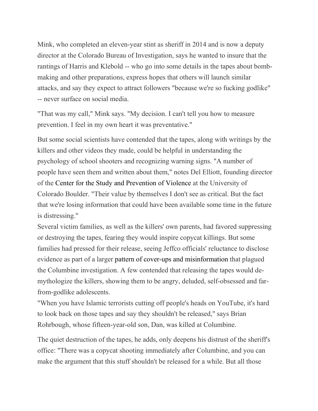Mink, who completed an eleven-year stint as sheriff in 2014 and is now a deputy director at the Colorado Bureau of Investigation, says he wanted to insure that the rantings of Harris and Klebold -- who go into some details in the tapes about bombmaking and other preparations, express hopes that others will launch similar attacks, and say they expect to attract followers "because we're so fucking godlike" -- never surface on social media.

"That was my call," Mink says. "My decision. I can't tell you how to measure prevention. I feel in my own heart it was preventative."

But some social scientists have contended that the tapes, along with writings by the killers and other videos they made, could be helpful in understanding the psychology of school shooters and recognizing warning signs. "A number of people have seen them and written about them," notes Del Elliott, founding director of the Center for the Study and [Prevention](http://www.colorado.edu/cspv/about.html) of Violence at the University of Colorado Boulder. "Their value by themselves I don't see as critical. But the fact that we're losing information that could have been available some time in the future is distressing."

Several victim families, as well as the killers' own parents, had favored suppressing or destroying the tapes, fearing they would inspire copycat killings. But some families had pressed for their release, seeing Jeffco officials' reluctance to disclose evidence as part of a larger pattern of cover-ups and [misinformation](http://www.westword.com/2004-09-30/news/anatomy-of-a-cover-up/) that plagued the Columbine investigation. A few contended that releasing the tapes would demythologize the killers, showing them to be angry, deluded, self-obsessed and farfrom-godlike adolescents.

"When you have Islamic terrorists cutting off people's heads on YouTube, it's hard to look back on those tapes and say they shouldn't be released," says Brian Rohrbough, whose fifteen-year-old son, Dan, was killed at Columbine.

The quiet destruction of the tapes, he adds, only deepens his distrust of the sheriff's office: "There was a copycat shooting immediately after Columbine, and you can make the argument that this stuff shouldn't be released for a while. But all those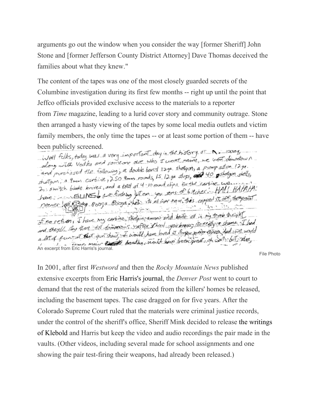arguments go out the window when you consider the way [former Sheriff] John Stone and [former Jefferson County District Attorney] Dave Thomas deceived the families about what they knew."

The content of the tapes was one of the most closely guarded secrets of the Columbine investigation during its first few months -- right up until the point that Jeffco officials provided exclusive access to the materials to a reporter from *Time* magazine, leading to a lurid cover story and community outrage. Stone then arranged a hasty viewing of the tapes by some local media outlets and victim family members, the only time the tapes -- or at least some portion of them -- have

been publicly screened.<br>Livell Elks, today was a very important day in the history of  $N = \infty$  can g ivell folks, today was a very important early in the name, we want downtown. along with vodita and someone assessing + containing a pump action 12 ga.<br>and purchased the following ; a double barrel 12 ga. shotgun, a pump action shells, and purchased the following; a double barrel 12ga. shortgori; a purp shotgin shells,<br>shatgori, a 9min carbine, 250 9min rounds, 15 12ga slugs, 00 10 pshotgin shells, shatgon, a 9 min. carbine, 250 min rounds in tage steps for the carbine we.  $2$  suritch blade knives, and a total of  $9 - 10$  count clips for the condition of  $H$   $H$   $H$  $H$  $H$  $H$ . have: SILINES we want go some you with support to the point of no retiron, I have my carbine, shotgon commo and baile all is my trunk traight of no retirent I have my caroine, snowming and a foreign research of theme. I had wa they'll tay there till tomorrows, surfer a nool you know were there dad we would An excerpt from Eric Harris's journal. Sond that would have been great of walls but also

File Photo

In 2001, after first *Westword* and then the *Rocky Mountain News* published extensive excerpts from Eric [Harris's](http://www.westword.com/2001-12-06/news/i-m-full-of-hate-and-i-love-it/) journal, the *Denver Post* went to court to demand that the rest of the materials seized from the killers' homes be released, including the basement tapes. The case dragged on for five years. After the Colorado Supreme Court ruled that the materials were criminal justice records, under the control of the sheriff's office, Sheriff Mink decided to release the [writings](http://blogs.westword.com/latestword/2006/07/from_hijinks_to_hitler.php) of [Klebold](http://blogs.westword.com/latestword/2006/07/from_hijinks_to_hitler.php) and Harris but keep the video and audio recordings the pair made in the vaults. (Other videos, including several made for school assignments and one showing the pair test-firing their weapons, had already been released.)